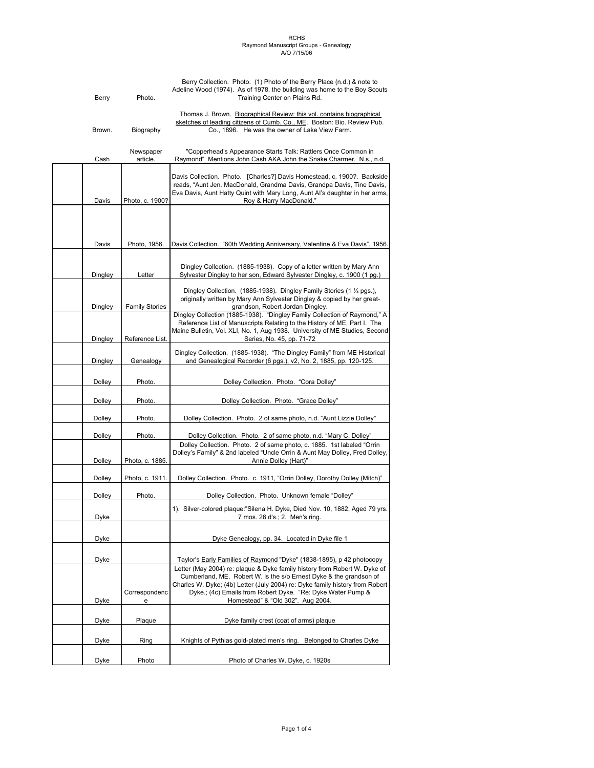| Berry   | Photo.                | Berry Collection. Photo. (1) Photo of the Berry Place (n.d.) & note to<br>Adeline Wood (1974). As of 1978, the building was home to the Boy Scouts<br>Training Center on Plains Rd.                                                                                                                                                 |
|---------|-----------------------|-------------------------------------------------------------------------------------------------------------------------------------------------------------------------------------------------------------------------------------------------------------------------------------------------------------------------------------|
| Brown.  | Biography             | Thomas J. Brown. Biographical Review: this vol. contains biographical<br>sketches of leading citizens of Cumb. Co., ME. Boston: Bio. Review Pub.<br>Co., 1896. He was the owner of Lake View Farm.                                                                                                                                  |
| Cash    | Newspaper<br>article. | "Copperhead's Appearance Starts Talk: Rattlers Once Common in<br>Raymond" Mentions John Cash AKA John the Snake Charmer. N.s., n.d.                                                                                                                                                                                                 |
| Davis   | Photo, c. 1900?       | Davis Collection. Photo. [Charles?] Davis Homestead, c. 1900?. Backside<br>reads, "Aunt Jen. MacDonald, Grandma Davis, Grandpa Davis, Tine Davis,<br>Eva Davis, Aunt Hatty Quint with Mary Long, Aunt Al's daughter in her arms,<br>Roy & Harry MacDonald."                                                                         |
|         |                       |                                                                                                                                                                                                                                                                                                                                     |
| Davis   | Photo, 1956.          | Davis Collection. "60th Wedding Anniversary, Valentine & Eva Davis", 1956.                                                                                                                                                                                                                                                          |
| Dingley | Letter                | Dingley Collection. (1885-1938). Copy of a letter written by Mary Ann<br>Sylvester Dingley to her son, Edward Sylvester Dingley, c. 1900 (1 pg.)                                                                                                                                                                                    |
| Dingley | <b>Family Stories</b> | Dingley Collection. (1885-1938). Dingley Family Stories (1 1/4 pgs.),<br>originally written by Mary Ann Sylvester Dingley & copied by her great-<br>grandson, Robert Jordan Dingley.                                                                                                                                                |
| Dingley | Reference List.       | Dingley Collection (1885-1938). "Dingley Family Collection of Raymond," A<br>Reference List of Manuscripts Relating to the History of ME, Part I. The<br>Maine Bulletin, Vol. XLI, No. 1, Aug 1938. University of ME Studies, Second<br>Series, No. 45, pp. 71-72                                                                   |
| Dingley | Genealogy             | Dingley Collection. (1885-1938). "The Dingley Family" from ME Historical<br>and Genealogical Recorder (6 pgs.), v2, No. 2, 1885, pp. 120-125.                                                                                                                                                                                       |
| Dolley  | Photo.                | Dolley Collection. Photo. "Cora Dolley"                                                                                                                                                                                                                                                                                             |
| Dolley  | Photo.                | Dolley Collection. Photo. "Grace Dolley"                                                                                                                                                                                                                                                                                            |
| Dolley  | Photo.                | Dolley Collection. Photo. 2 of same photo, n.d. "Aunt Lizzie Dolley"                                                                                                                                                                                                                                                                |
| Dolley  | Photo.                | Dolley Collection. Photo. 2 of same photo, n.d. "Mary C. Dolley"                                                                                                                                                                                                                                                                    |
| Dolley  | Photo, c. 1885.       | Dolley Collection. Photo. 2 of same photo, c. 1885. 1st labeled "Orrin<br>Dolley's Family" & 2nd labeled "Uncle Orrin & Aunt May Dolley, Fred Dolley,<br>Annie Dolley (Hart)"                                                                                                                                                       |
| Dolley  | Photo, c. 1911.       | Dolley Collection. Photo. c. 1911, "Orrin Dolley, Dorothy Dolley (Mitch)"                                                                                                                                                                                                                                                           |
| Dolley  | Photo.                | Dolley Collection. Photo. Unknown female "Dolley"                                                                                                                                                                                                                                                                                   |
| Dyke    |                       | 1). Silver-colored plaque:"Silena H. Dyke, Died Nov. 10, 1882, Aged 79 yrs<br>7 mos. 26 d's.; 2. Men's ring.                                                                                                                                                                                                                        |
| Dyke    |                       | Dyke Genealogy, pp. 34. Located in Dyke file 1                                                                                                                                                                                                                                                                                      |
| Dyke    |                       | Taylor's Early Families of Raymond "Dyke" (1838-1895), p 42 photocopy                                                                                                                                                                                                                                                               |
| Dyke    | Correspondenc<br>e    | Letter (May 2004) re: plaque & Dyke family history from Robert W. Dyke of<br>Cumberland, ME. Robert W. is the s/o Ernest Dyke & the grandson of<br>Charles W. Dyke; (4b) Letter (July 2004) re: Dyke family history from Robert<br>Dyke.; (4c) Emails from Robert Dyke. "Re: Dyke Water Pump &<br>Homestead" & "Old 302". Aug 2004. |
| Dyke    | Plaque                | Dyke family crest (coat of arms) plaque                                                                                                                                                                                                                                                                                             |
| Dyke    | Ring                  | Knights of Pythias gold-plated men's ring. Belonged to Charles Dyke                                                                                                                                                                                                                                                                 |
| Dyke    | Photo                 | Photo of Charles W. Dyke, c. 1920s                                                                                                                                                                                                                                                                                                  |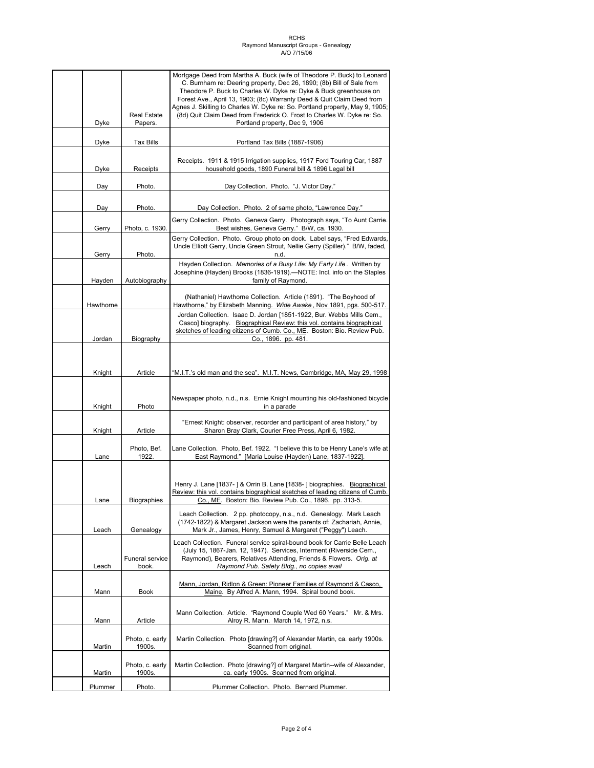|             |                                 | Mortgage Deed from Martha A. Buck (wife of Theodore P. Buck) to Leonard                                                                                           |
|-------------|---------------------------------|-------------------------------------------------------------------------------------------------------------------------------------------------------------------|
|             |                                 | C. Burnham re: Deering property, Dec 26, 1890; (8b) Bill of Sale from<br>Theodore P. Buck to Charles W. Dyke re: Dyke & Buck greenhouse on                        |
|             |                                 | Forest Ave., April 13, 1903; (8c) Warranty Deed & Quit Claim Deed from                                                                                            |
|             |                                 | Agnes J. Skilling to Charles W. Dyke re: So. Portland property, May 9, 1905;                                                                                      |
| Dyke        | <b>Real Estate</b><br>Papers.   | (8d) Quit Claim Deed from Frederick O. Frost to Charles W. Dyke re: So.<br>Portland property, Dec 9, 1906                                                         |
|             |                                 |                                                                                                                                                                   |
| Dyke        | <b>Tax Bills</b>                | Portland Tax Bills (1887-1906)                                                                                                                                    |
|             |                                 |                                                                                                                                                                   |
| <u>Dyke</u> | Receipts                        | Receipts. 1911 & 1915 Irrigation supplies, 1917 Ford Touring Car, 1887<br>household goods, 1890 Funeral bill & 1896 Legal bill                                    |
| Day         | Photo.                          | Day Collection. Photo. "J. Victor Day."                                                                                                                           |
|             |                                 |                                                                                                                                                                   |
| Day         | Photo.                          | Day Collection. Photo. 2 of same photo, "Lawrence Day."<br>Gerry Collection. Photo. Geneva Gerry. Photograph says, "To Aunt Carrie.                               |
| Gerry       | Photo, c. 1930.                 | Best wishes, Geneva Gerry." B/W, ca. 1930.                                                                                                                        |
| Gerry       | Photo.                          | Gerry Collection. Photo. Group photo on dock. Label says, "Fred Edwards,<br>Uncle Elliott Gerry, Uncle Green Strout, Nellie Gerry (Spiller)." B/W, faded,<br>n.d. |
|             |                                 | Hayden Collection. Memories of a Busy Life: My Early Life. Written by                                                                                             |
| Hayden      | Autobiography                   | Josephine (Hayden) Brooks (1836-1919).-NOTE: Incl. info on the Staples<br>family of Raymond.                                                                      |
| Hawthorne   |                                 | (Nathaniel) Hawthorne Collection. Article (1891). "The Boyhood of<br>Hawthorne," by Elizabeth Manning. Wide Awake, Nov 1891, pgs. 500-517.                        |
|             |                                 | Jordan Collection. Isaac D. Jordan [1851-1922, Bur. Webbs Mills Cem.,                                                                                             |
|             |                                 | Casco] biography. Biographical Review: this vol. contains biographical<br>sketches of leading citizens of Cumb. Co., ME. Boston: Bio. Review Pub.                 |
| Jordan      | Biography                       | Co., 1896. pp. 481.                                                                                                                                               |
|             |                                 |                                                                                                                                                                   |
|             |                                 |                                                                                                                                                                   |
| Knight      | Article                         | "M.I.T.'s old man and the sea". M.I.T. News, Cambridge, MA, May 29, 1998                                                                                          |
|             |                                 |                                                                                                                                                                   |
|             |                                 | Newspaper photo, n.d., n.s. Ernie Knight mounting his old-fashioned bicycle                                                                                       |
| Knight      | Photo                           | in a parade                                                                                                                                                       |
| Knight      | Article                         | "Ernest Knight: observer, recorder and participant of area history," by<br>Sharon Bray Clark, Courier Free Press, April 6, 1982.                                  |
|             | Photo, Bef.                     | Lane Collection. Photo, Bef. 1922. "I believe this to be Henry Lane's wife at                                                                                     |
| Lane        | 1922.                           | East Raymond." [Maria Louise (Hayden) Lane, 1837-1922].                                                                                                           |
|             |                                 |                                                                                                                                                                   |
|             |                                 | Henry J. Lane [1837-] & Orrin B. Lane [1838-] biographies. Biographical                                                                                           |
|             |                                 | Review: this vol. contains biographical sketches of leading citizens of Cumb.                                                                                     |
| Lane        | <b>Biographies</b>              | Co., ME. Boston: Bio. Review Pub. Co., 1896. pp. 313-5.                                                                                                           |
|             |                                 | Leach Collection. 2 pp. photocopy, n.s., n.d. Genealogy. Mark Leach                                                                                               |
| Leach       | Genealogy                       | (1742-1822) & Margaret Jackson were the parents of: Zachariah, Annie,<br>Mark Jr., James, Henry, Samuel & Margaret ("Peggy") Leach.                               |
|             |                                 | Leach Collection. Funeral service spiral-bound book for Carrie Belle Leach                                                                                        |
|             |                                 | (July 15, 1867-Jan. 12, 1947). Services, Interment (Riverside Cem.,                                                                                               |
| Leach       | <b>Funeral service</b><br>book. | Raymond), Bearers, Relatives Attending, Friends & Flowers. Orig. at<br>Raymond Pub. Safety Bldg., no copies avail                                                 |
|             |                                 |                                                                                                                                                                   |
| Mann        | Book                            | Mann, Jordan, Ridlon & Green: Pioneer Families of Raymond & Casco,<br>Maine. By Alfred A. Mann, 1994. Spiral bound book.                                          |
|             |                                 |                                                                                                                                                                   |
| Mann        | Article                         | Mann Collection. Article. "Raymond Couple Wed 60 Years." Mr. & Mrs.<br>Alroy R. Mann. March 14, 1972, n.s.                                                        |
|             |                                 |                                                                                                                                                                   |
| Martin      | Photo, c. early<br>1900s.       | Martin Collection. Photo [drawing?] of Alexander Martin, ca. early 1900s.<br>Scanned from original.                                                               |
|             |                                 |                                                                                                                                                                   |
| Martin      | Photo, c. early<br>1900s.       | Martin Collection. Photo [drawing?] of Margaret Martin--wife of Alexander,<br>ca. early 1900s. Scanned from original.                                             |
| Plummer     | Photo.                          | Plummer Collection. Photo. Bernard Plummer.                                                                                                                       |
|             |                                 |                                                                                                                                                                   |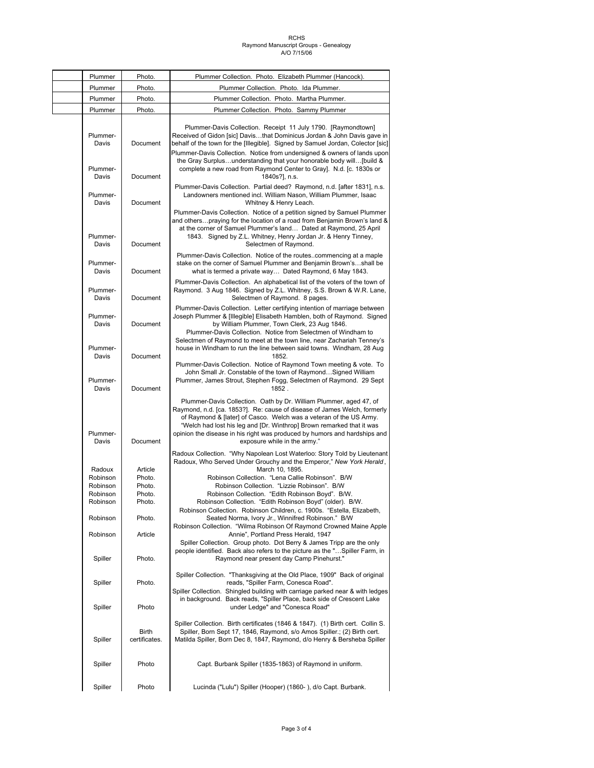| Plummer                       | Photo.                 | Plummer Collection. Photo. Elizabeth Plummer (Hancock).                                                                                                                                                                                                                                                                                                                                                                                               |
|-------------------------------|------------------------|-------------------------------------------------------------------------------------------------------------------------------------------------------------------------------------------------------------------------------------------------------------------------------------------------------------------------------------------------------------------------------------------------------------------------------------------------------|
| Plummer                       | Photo.                 | Plummer Collection. Photo. Ida Plummer.                                                                                                                                                                                                                                                                                                                                                                                                               |
| Plummer                       | Photo.                 | Plummer Collection. Photo. Martha Plummer.                                                                                                                                                                                                                                                                                                                                                                                                            |
| Plummer                       | Photo.                 | Plummer Collection. Photo. Sammy Plummer                                                                                                                                                                                                                                                                                                                                                                                                              |
| Plummer-<br>Davis<br>Plummer- | Document               | Plummer-Davis Collection. Receipt 11 July 1790. [Raymondtown]<br>Received of Gidon [sic] Davisthat Dominicus Jordan & John Davis gave in<br>behalf of the town for the [Illegible]. Signed by Samuel Jordan, Colector [sic]<br>Plummer-Davis Collection. Notice from undersigned & owners of lands upon<br>the Gray Surplusunderstanding that your honorable body will[build &<br>complete a new road from Raymond Center to Gray]. N.d. [c. 1830s or |
| Davis                         | Document               | 1840s?], n.s.                                                                                                                                                                                                                                                                                                                                                                                                                                         |
| Plummer-<br>Davis             | Document               | Plummer-Davis Collection. Partial deed? Raymond, n.d. [after 1831], n.s.<br>Landowners mentioned incl. William Nason, William Plummer, Isaac<br>Whitney & Henry Leach.<br>Plummer-Davis Collection. Notice of a petition signed by Samuel Plummer                                                                                                                                                                                                     |
| Plummer-<br>Davis             | Document               | and otherspraying for the location of a road from Benjamin Brown's land &<br>at the corner of Samuel Plummer's land Dated at Raymond, 25 April<br>1843. Signed by Z.L. Whitney, Henry Jordan Jr. & Henry Tinney,<br>Selectmen of Raymond.                                                                                                                                                                                                             |
| Plummer-<br>Davis             | Document               | Plummer-Davis Collection. Notice of the routescommencing at a maple<br>stake on the corner of Samuel Plummer and Benjamin Brown'sshall be<br>what is termed a private way Dated Raymond, 6 May 1843.                                                                                                                                                                                                                                                  |
| Plummer-<br>Davis             | Document               | Plummer-Davis Collection. An alphabetical list of the voters of the town of<br>Raymond. 3 Aug 1846. Signed by Z.L. Whitney, S.S. Brown & W.R. Lane,<br>Selectmen of Raymond. 8 pages.                                                                                                                                                                                                                                                                 |
| Plummer-<br>Davis             | Document               | Plummer-Davis Collection. Letter certifying intention of marriage between<br>Joseph Plummer & [Illegible] Elisabeth Hamblen, both of Raymond. Signed<br>by William Plummer, Town Clerk, 23 Aug 1846.<br>Plummer-Davis Collection. Notice from Selectmen of Windham to<br>Selectmen of Raymond to meet at the town line, near Zachariah Tenney's                                                                                                       |
| Plummer-<br>Davis             | Document               | house in Windham to run the line between said towns. Windham, 28 Aug<br>1852.<br>Plummer-Davis Collection. Notice of Raymond Town meeting & vote. To                                                                                                                                                                                                                                                                                                  |
| Plummer-<br>Davis             | Document               | John Small Jr. Constable of the town of RaymondSigned William<br>Plummer, James Strout, Stephen Fogg, Selectmen of Raymond. 29 Sept<br>1852.                                                                                                                                                                                                                                                                                                          |
| Plummer-<br>Davis             | Document               | Plummer-Davis Collection. Oath by Dr. William Plummer, aged 47, of<br>Raymond, n.d. [ca. 1853?]. Re: cause of disease of James Welch, formerly<br>of Raymond & [later] of Casco. Welch was a veteran of the US Army.<br>"Welch had lost his leg and [Dr. Winthrop] Brown remarked that it was<br>opinion the disease in his right was produced by humors and hardships and<br>exposure while in the army."                                            |
| Radoux                        | Article                | Radoux Collection. "Why Napolean Lost Waterloo: Story Told by Lieutenant<br>Radoux, Who Served Under Grouchy and the Emperor," New York Herald,<br>March 10, 1895.                                                                                                                                                                                                                                                                                    |
| Robinson                      | Photo.                 | Robinson Collection. "Lena Callie Robinson". B/W                                                                                                                                                                                                                                                                                                                                                                                                      |
| Robinson                      | Photo.                 | Robinson Collection. "Lizzie Robinson". B/W                                                                                                                                                                                                                                                                                                                                                                                                           |
| Robinson<br>Robinson          | Photo.<br>Photo.       | Robinson Collection. "Edith Robinson Boyd". B/W.<br>Robinson Collection. "Edith Robinson Boyd" (older). B/W.<br>Robinson Collection. Robinson Children, c. 1900s. "Estella, Elizabeth,                                                                                                                                                                                                                                                                |
| Robinson<br>Robinson          | Photo.<br>Article      | Seated Norma, Ivory Jr., Winnifred Robinson." B/W<br>Robinson Collection. "Wilma Robinson Of Raymond Crowned Maine Apple<br>Annie", Portland Press Herald, 1947                                                                                                                                                                                                                                                                                       |
| Spiller                       | Photo.                 | Spiller Collection. Group photo. Dot Berry & James Tripp are the only<br>people identified. Back also refers to the picture as the "Spiller Farm, in<br>Raymond near present day Camp Pinehurst."                                                                                                                                                                                                                                                     |
|                               |                        | Spiller Collection. "Thanksgiving at the Old Place, 1909" Back of original                                                                                                                                                                                                                                                                                                                                                                            |
| Spiller<br>Spiller            | Photo.<br>Photo        | reads, "Spiller Farm, Conesca Road".<br>Spiller Collection. Shingled building with carriage parked near & with ledges<br>in background. Back reads, "Spiller Place, back side of Crescent Lake<br>under Ledge" and "Conesca Road"                                                                                                                                                                                                                     |
| Spiller                       | Birth<br>certificates. | Spiller Collection. Birth certificates (1846 & 1847). (1) Birth cert. Collin S.<br>Spiller, Born Sept 17, 1846, Raymond, s/o Amos Spiller.; (2) Birth cert.<br>Matilda Spiller, Born Dec 8, 1847, Raymond, d/o Henry & Bersheba Spiller                                                                                                                                                                                                               |
| Spiller                       | Photo                  | Capt. Burbank Spiller (1835-1863) of Raymond in uniform.                                                                                                                                                                                                                                                                                                                                                                                              |
| Spiller                       | Photo                  | Lucinda ("Lulu") Spiller (Hooper) (1860-), d/o Capt. Burbank.                                                                                                                                                                                                                                                                                                                                                                                         |